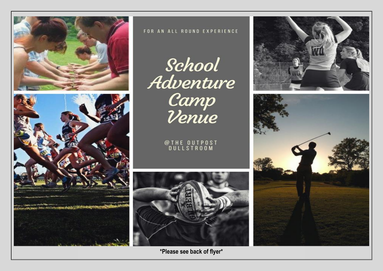



#### FOR AN ALL ROUND EXPERIENCE

School<br>Adventure<br>Camp<br>Venue

# @THE OUTPOST<br>DULLSTROOM